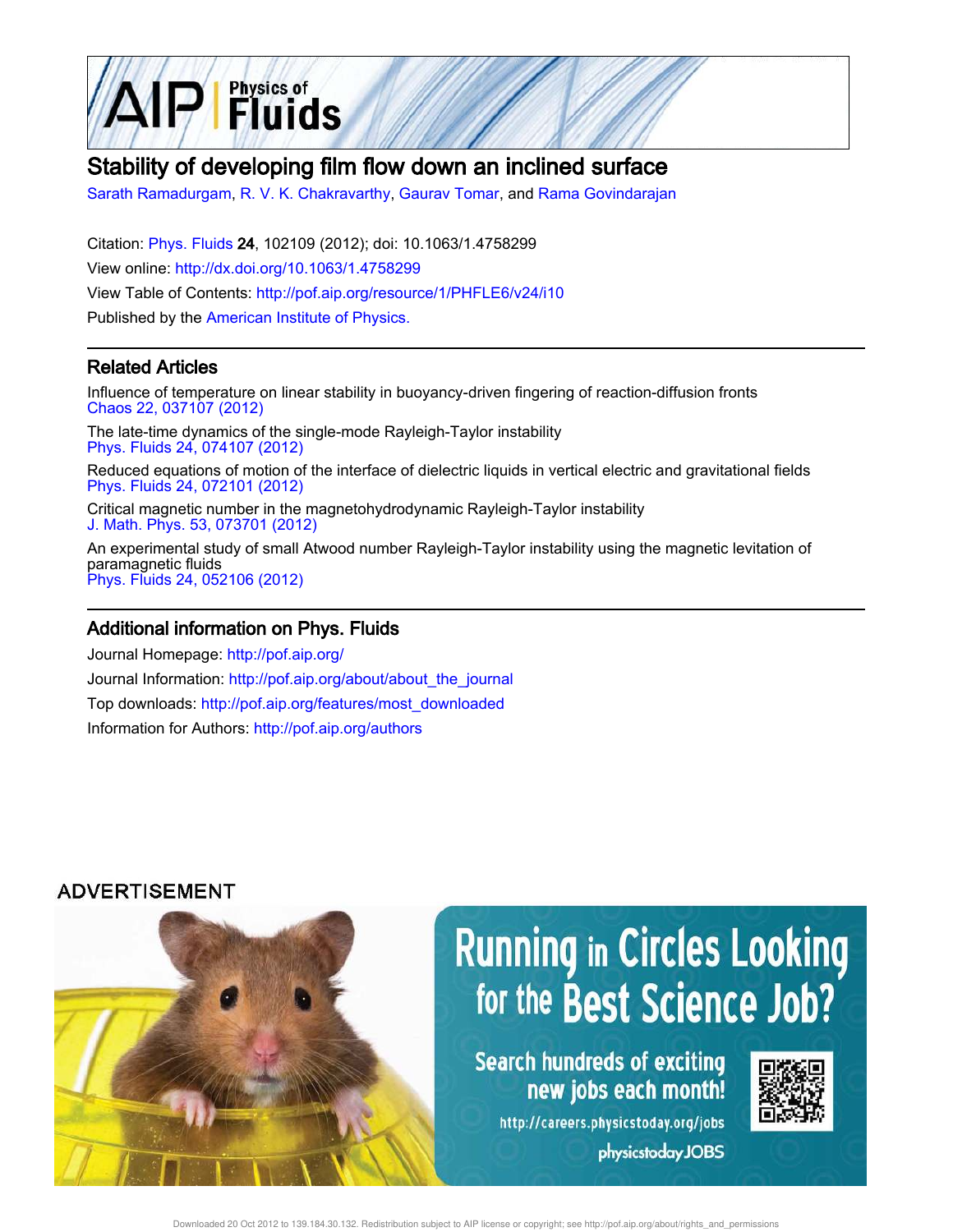

## Stability of developing film flow down an inclined surface

Sarath Ramadurgam, R. V. K. Chakravarthy, Gaurav Tomar, and Rama Govindarajan

Citation: Phys. Fluids 24, 102109 (2012); doi: 10.1063/1.4758299 View online: http://dx.doi.org/10.1063/1.4758299 View Table of Contents: http://pof.aip.org/resource/1/PHFLE6/v24/i10 Published by the American Institute of Physics.

## Related Articles

Influence of temperature on linear stability in buoyancy-driven fingering of reaction-diffusion fronts Chaos 22, 037107 (2012)

The late-time dynamics of the single-mode Rayleigh-Taylor instability Phys. Fluids 24, 074107 (2012)

Reduced equations of motion of the interface of dielectric liquids in vertical electric and gravitational fields Phys. Fluids 24, 072101 (2012)

Critical magnetic number in the magnetohydrodynamic Rayleigh-Taylor instability J. Math. Phys. 53, 073701 (2012)

An experimental study of small Atwood number Rayleigh-Taylor instability using the magnetic levitation of paramagnetic fluids Phys. Fluids 24, 052106 (2012)

### Additional information on Phys. Fluids

Journal Homepage: http://pof.aip.org/ Journal Information: http://pof.aip.org/about/about\_the\_journal Top downloads: http://pof.aip.org/features/most\_downloaded Information for Authors: http://pof.aip.org/authors

## **ADVERTISEMENT**



# **Running in Circles Looking** for the Best Science Job?

Search hundreds of exciting new jobs each month!

http://careers.physicstoday.org/jobs physicstoday JOBS



Downloaded 20 Oct 2012 to 139.184.30.132. Redistribution subject to AIP license or copyright; see http://pof.aip.org/about/rights\_and\_permissions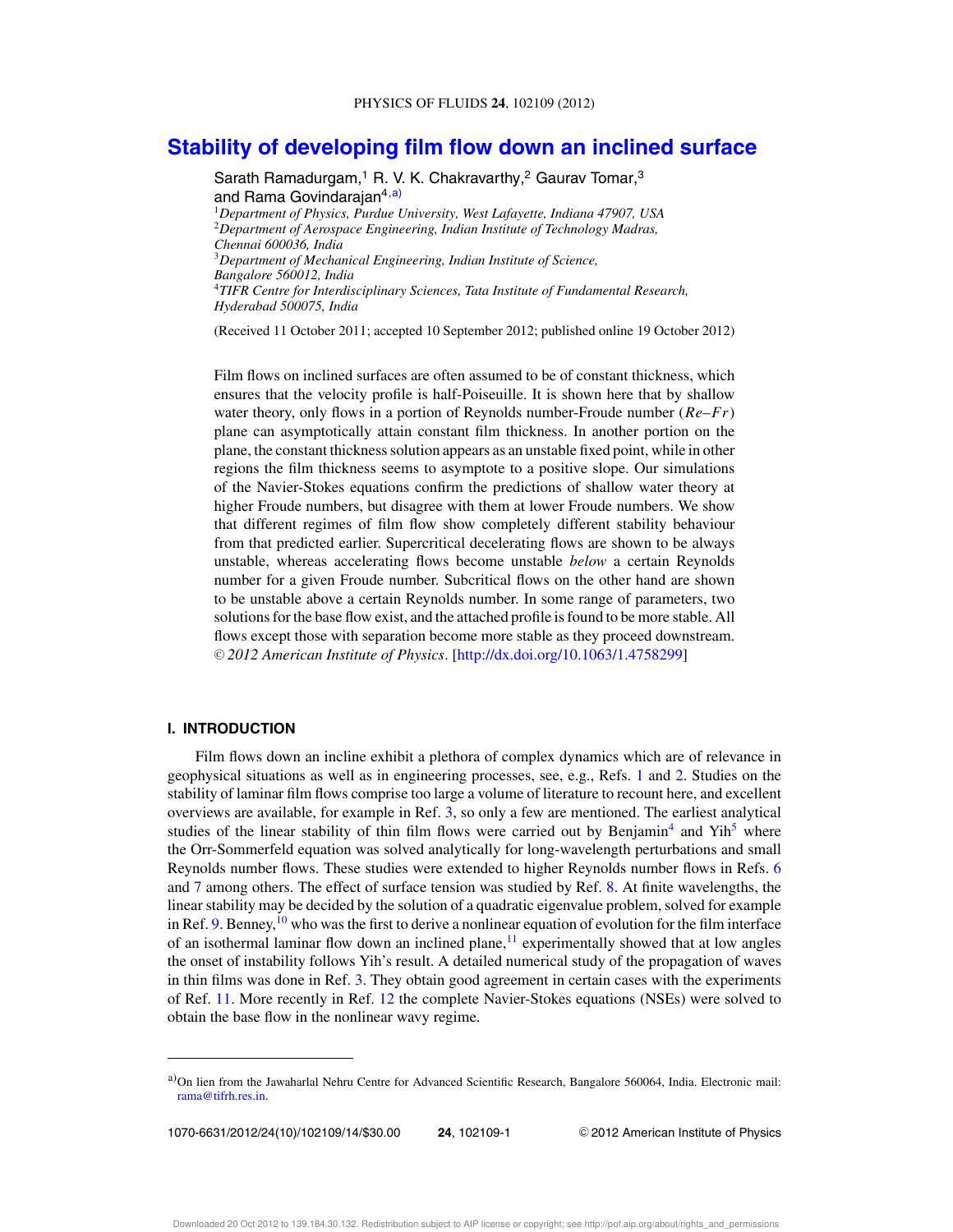## **Stability of developing film flow down an inclined surface**

Sarath Ramadurgam,<sup>1</sup> R. V. K. Chakravarthy,<sup>2</sup> Gaurav Tomar,<sup>3</sup> and Rama Govindarajan<sup>4,a)</sup> <sup>1</sup>*Department of Physics, Purdue University, West Lafayette, Indiana 47907, USA* <sup>2</sup>*Department of Aerospace Engineering, Indian Institute of Technology Madras, Chennai 600036, India* <sup>3</sup>*Department of Mechanical Engineering, Indian Institute of Science, Bangalore 560012, India* <sup>4</sup>*TIFR Centre for Interdisciplinary Sciences, Tata Institute of Fundamental Research, Hyderabad 500075, India*

(Received 11 October 2011; accepted 10 September 2012; published online 19 October 2012)

Film flows on inclined surfaces are often assumed to be of constant thickness, which ensures that the velocity profile is half-Poiseuille. It is shown here that by shallow water theory, only flows in a portion of Reynolds number-Froude number (*Re*–*Fr*) plane can asymptotically attain constant film thickness. In another portion on the plane, the constant thickness solution appears as an unstable fixed point, while in other regions the film thickness seems to asymptote to a positive slope. Our simulations of the Navier-Stokes equations confirm the predictions of shallow water theory at higher Froude numbers, but disagree with them at lower Froude numbers. We show that different regimes of film flow show completely different stability behaviour from that predicted earlier. Supercritical decelerating flows are shown to be always unstable, whereas accelerating flows become unstable *below* a certain Reynolds number for a given Froude number. Subcritical flows on the other hand are shown to be unstable above a certain Reynolds number. In some range of parameters, two solutions for the base flow exist, and the attached profile is found to be more stable. All flows except those with separation become more stable as they proceed downstream. -<sup>C</sup> *2012 American Institute of Physics*. [http://dx.doi.org/10.1063/1.4758299]

#### **I. INTRODUCTION**

Film flows down an incline exhibit a plethora of complex dynamics which are of relevance in geophysical situations as well as in engineering processes, see, e.g., Refs. 1 and 2. Studies on the stability of laminar film flows comprise too large a volume of literature to recount here, and excellent overviews are available, for example in Ref. 3, so only a few are mentioned. The earliest analytical studies of the linear stability of thin film flows were carried out by Benjamin<sup>4</sup> and Yih<sup>5</sup> where the Orr-Sommerfeld equation was solved analytically for long-wavelength perturbations and small Reynolds number flows. These studies were extended to higher Reynolds number flows in Refs. 6 and 7 among others. The effect of surface tension was studied by Ref. 8. At finite wavelengths, the linear stability may be decided by the solution of a quadratic eigenvalue problem, solved for example in Ref. 9. Benney,  $\frac{10}{10}$  who was the first to derive a nonlinear equation of evolution for the film interface of an isothermal laminar flow down an inclined plane, $\frac{11}{11}$  experimentally showed that at low angles the onset of instability follows Yih's result. A detailed numerical study of the propagation of waves in thin films was done in Ref. 3. They obtain good agreement in certain cases with the experiments of Ref. 11. More recently in Ref. 12 the complete Navier-Stokes equations (NSEs) were solved to obtain the base flow in the nonlinear wavy regime.

1070-6631/2012/24(10)/102109/14/\$30.00 **24**, 102109-1 -

<sup>C</sup> 2012 American Institute of Physics

a)On lien from the Jawaharlal Nehru Centre for Advanced Scientific Research, Bangalore 560064, India. Electronic mail: rama@tifrh.res.in.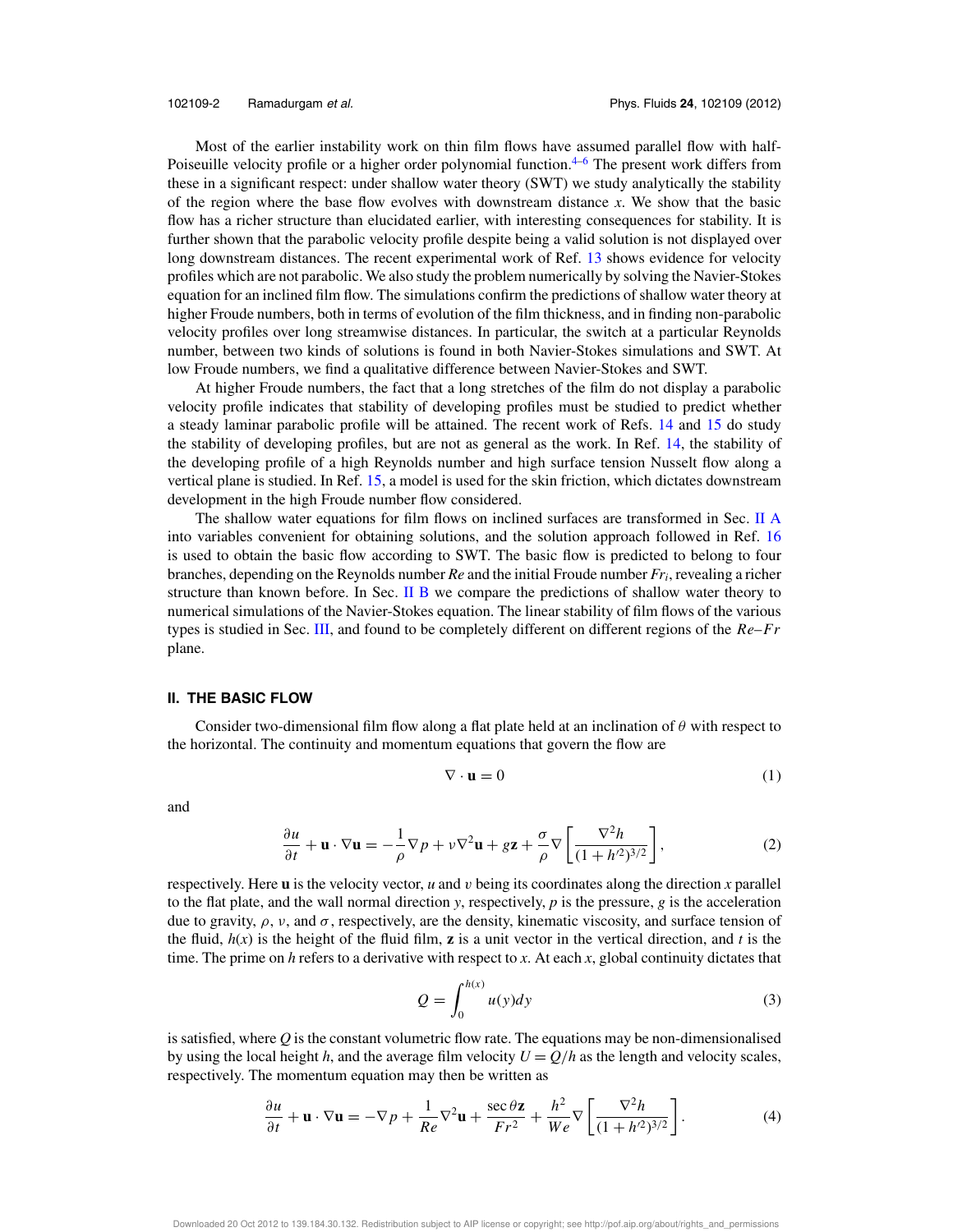Most of the earlier instability work on thin film flows have assumed parallel flow with half-Poiseuille velocity profile or a higher order polynomial function.<sup>4–6</sup> The present work differs from these in a significant respect: under shallow water theory (SWT) we study analytically the stability of the region where the base flow evolves with downstream distance *x*. We show that the basic flow has a richer structure than elucidated earlier, with interesting consequences for stability. It is further shown that the parabolic velocity profile despite being a valid solution is not displayed over long downstream distances. The recent experimental work of Ref. 13 shows evidence for velocity profiles which are not parabolic. We also study the problem numerically by solving the Navier-Stokes equation for an inclined film flow. The simulations confirm the predictions of shallow water theory at higher Froude numbers, both in terms of evolution of the film thickness, and in finding non-parabolic velocity profiles over long streamwise distances. In particular, the switch at a particular Reynolds number, between two kinds of solutions is found in both Navier-Stokes simulations and SWT. At low Froude numbers, we find a qualitative difference between Navier-Stokes and SWT.

At higher Froude numbers, the fact that a long stretches of the film do not display a parabolic velocity profile indicates that stability of developing profiles must be studied to predict whether a steady laminar parabolic profile will be attained. The recent work of Refs. 14 and 15 do study the stability of developing profiles, but are not as general as the work. In Ref. 14, the stability of the developing profile of a high Reynolds number and high surface tension Nusselt flow along a vertical plane is studied. In Ref. 15, a model is used for the skin friction, which dictates downstream development in the high Froude number flow considered.

The shallow water equations for film flows on inclined surfaces are transformed in Sec. II A into variables convenient for obtaining solutions, and the solution approach followed in Ref. 16 is used to obtain the basic flow according to SWT. The basic flow is predicted to belong to four branches, depending on the Reynolds number *Re* and the initial Froude number *Fr<sup>i</sup>* , revealing a richer structure than known before. In Sec. II B we compare the predictions of shallow water theory to numerical simulations of the Navier-Stokes equation. The linear stability of film flows of the various types is studied in Sec. III, and found to be completely different on different regions of the *Re*–*Fr* plane.

#### **II. THE BASIC FLOW**

Consider two-dimensional film flow along a flat plate held at an inclination of  $\theta$  with respect to the horizontal. The continuity and momentum equations that govern the flow are

$$
\nabla \cdot \mathbf{u} = 0 \tag{1}
$$

and

$$
\frac{\partial u}{\partial t} + \mathbf{u} \cdot \nabla \mathbf{u} = -\frac{1}{\rho} \nabla p + \nu \nabla^2 \mathbf{u} + g \mathbf{z} + \frac{\sigma}{\rho} \nabla \left[ \frac{\nabla^2 h}{(1 + h'^2)^{3/2}} \right],\tag{2}
$$

respectively. Here **u** is the velocity vector, *u* and v being its coordinates along the direction *x* parallel to the flat plate, and the wall normal direction  $y$ , respectively,  $p$  is the pressure,  $g$  is the acceleration due to gravity,  $\rho$ ,  $\nu$ , and  $\sigma$ , respectively, are the density, kinematic viscosity, and surface tension of the fluid,  $h(x)$  is the height of the fluid film, **z** is a unit vector in the vertical direction, and *t* is the time. The prime on *h* refers to a derivative with respect to *x*. At each *x*, global continuity dictates that

$$
Q = \int_0^{h(x)} u(y) dy
$$
 (3)

is satisfied, where *Q* is the constant volumetric flow rate. The equations may be non-dimensionalised by using the local height *h*, and the average film velocity  $U = Q/h$  as the length and velocity scales, respectively. The momentum equation may then be written as

$$
\frac{\partial u}{\partial t} + \mathbf{u} \cdot \nabla \mathbf{u} = -\nabla p + \frac{1}{Re} \nabla^2 \mathbf{u} + \frac{\sec \theta \mathbf{z}}{Fr^2} + \frac{h^2}{We} \nabla \left[ \frac{\nabla^2 h}{(1 + h^2)^{3/2}} \right].
$$
 (4)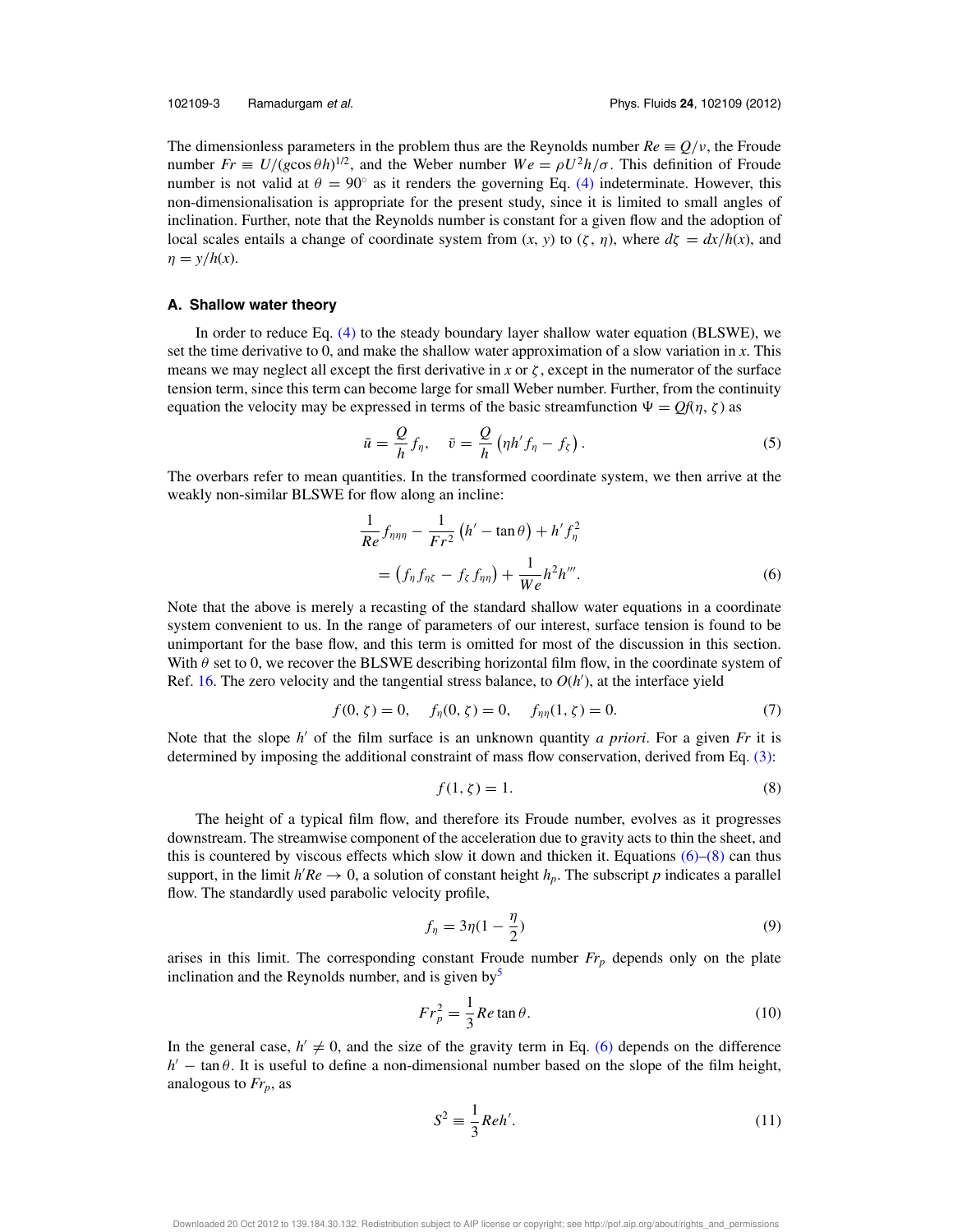The dimensionless parameters in the problem thus are the Reynolds number  $Re \equiv Q/v$ , the Froude number  $Fr \equiv U/(g \cos \theta h)^{1/2}$ , and the Weber number  $W e = \rho U^2 h / \sigma$ . This definition of Froude number is not valid at  $\theta = 90^\circ$  as it renders the governing Eq. (4) indeterminate. However, this non-dimensionalisation is appropriate for the present study, since it is limited to small angles of inclination. Further, note that the Reynolds number is constant for a given flow and the adoption of local scales entails a change of coordinate system from  $(x, y)$  to  $(\zeta, \eta)$ , where  $d\zeta = dx/h(x)$ , and  $\eta = y/h(x)$ .

#### **A. Shallow water theory**

In order to reduce Eq. (4) to the steady boundary layer shallow water equation (BLSWE), we set the time derivative to 0, and make the shallow water approximation of a slow variation in *x*. This means we may neglect all except the first derivative in *x* or  $\zeta$ , except in the numerator of the surface tension term, since this term can become large for small Weber number. Further, from the continuity equation the velocity may be expressed in terms of the basic streamfunction  $\Psi = Qf(\eta, \zeta)$  as

$$
\bar{u} = \frac{Q}{h} f_{\eta}, \quad \bar{v} = \frac{Q}{h} \left( \eta h' f_{\eta} - f_{\zeta} \right). \tag{5}
$$

The overbars refer to mean quantities. In the transformed coordinate system, we then arrive at the weakly non-similar BLSWE for flow along an incline:

$$
\frac{1}{Re} f_{\eta\eta\eta} - \frac{1}{Fr^2} \left( h' - \tan \theta \right) + h' f_{\eta}^2
$$

$$
= \left( f_{\eta} f_{\eta\zeta} - f_{\zeta} f_{\eta\eta} \right) + \frac{1}{We} h^2 h'''.
$$
(6)

Note that the above is merely a recasting of the standard shallow water equations in a coordinate system convenient to us. In the range of parameters of our interest, surface tension is found to be unimportant for the base flow, and this term is omitted for most of the discussion in this section. With  $\theta$  set to 0, we recover the BLSWE describing horizontal film flow, in the coordinate system of Ref. 16. The zero velocity and the tangential stress balance, to  $O(h')$ , at the interface yield

$$
f(0, \zeta) = 0, \quad f_{\eta}(0, \zeta) = 0, \quad f_{\eta\eta}(1, \zeta) = 0.
$$
 (7)

Note that the slope *h* ′ of the film surface is an unknown quantity *a priori*. For a given *Fr* it is determined by imposing the additional constraint of mass flow conservation, derived from Eq. (3):

$$
f(1,\zeta) = 1.\tag{8}
$$

The height of a typical film flow, and therefore its Froude number, evolves as it progresses downstream. The streamwise component of the acceleration due to gravity acts to thin the sheet, and this is countered by viscous effects which slow it down and thicken it. Equations  $(6)-(8)$  can thus support, in the limit  $h'Re \rightarrow 0$ , a solution of constant height  $h_p$ . The subscript p indicates a parallel flow. The standardly used parabolic velocity profile,

$$
f_{\eta} = 3\eta(1 - \frac{\eta}{2})\tag{9}
$$

arises in this limit. The corresponding constant Froude number *Fr<sup>p</sup>* depends only on the plate inclination and the Reynolds number, and is given by $<sup>5</sup>$ </sup>

$$
Fr_p^2 = \frac{1}{3} Re \tan \theta.
$$
 (10)

In the general case,  $h' \neq 0$ , and the size of the gravity term in Eq. (6) depends on the difference  $h'$  – tan  $\theta$ . It is useful to define a non-dimensional number based on the slope of the film height, analogous to *Frp*, as

1

$$
S^2 \equiv \frac{1}{3}Reh'.\tag{11}
$$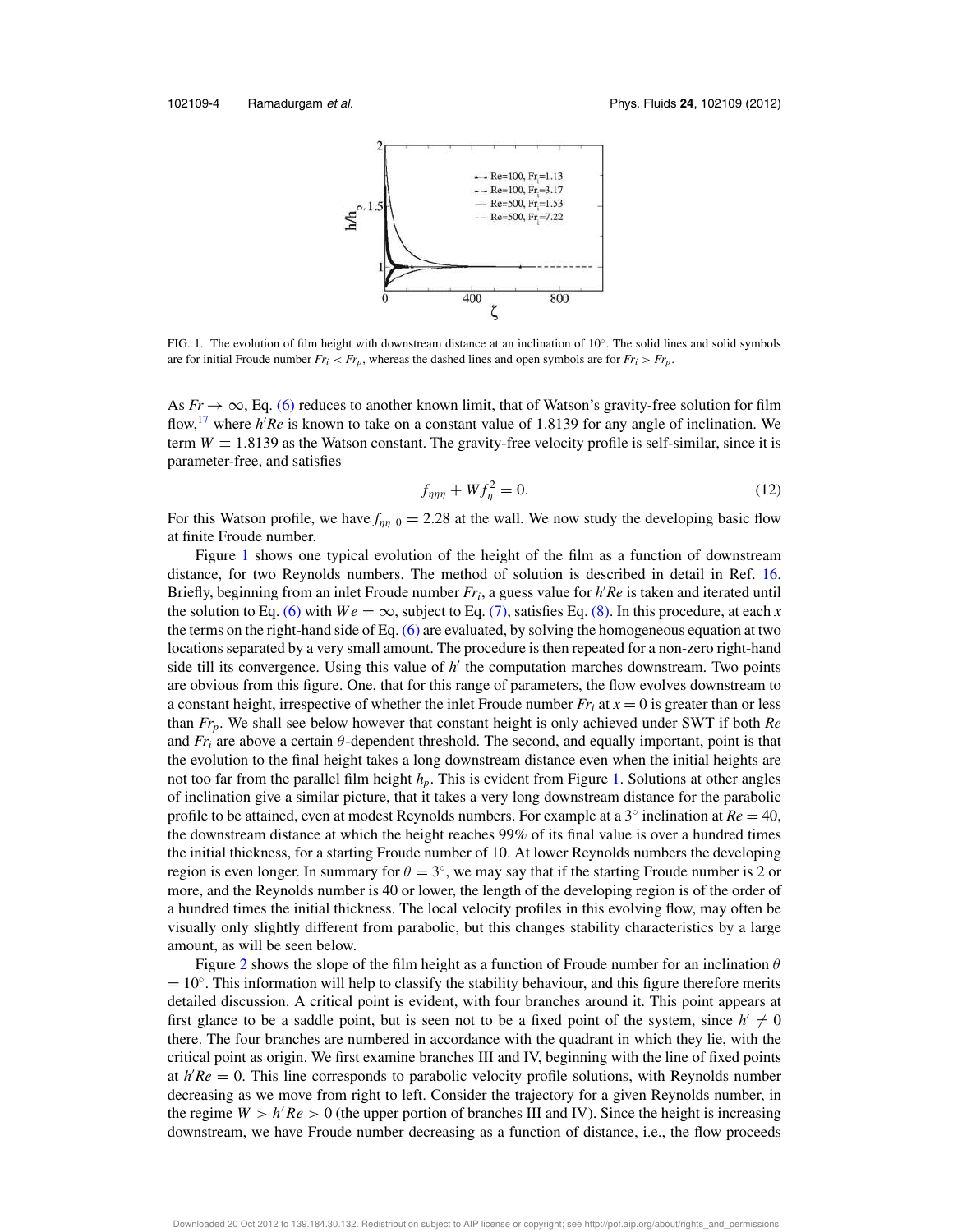

FIG. 1. The evolution of film height with downstream distance at an inclination of 10◦ . The solid lines and solid symbols are for initial Froude number  $Fr_i < Fr_p$ , whereas the dashed lines and open symbols are for  $Fr_i > Fr_p$ .

As  $Fr \to \infty$ , Eq. (6) reduces to another known limit, that of Watson's gravity-free solution for film flow,<sup>17</sup> where *h'Re* is known to take on a constant value of 1.8139 for any angle of inclination. We term  $W \equiv 1.8139$  as the Watson constant. The gravity-free velocity profile is self-similar, since it is parameter-free, and satisfies

$$
f_{\eta\eta\eta} + Wf_{\eta}^2 = 0.
$$
 (12)

For this Watson profile, we have  $f_{\eta\eta}|_{0} = 2.28$  at the wall. We now study the developing basic flow at finite Froude number.

Figure 1 shows one typical evolution of the height of the film as a function of downstream distance, for two Reynolds numbers. The method of solution is described in detail in Ref. 16. Briefly, beginning from an inlet Froude number *Fr<sup>i</sup>* , a guess value for *h* ′*Re* is taken and iterated until the solution to Eq. (6) with  $We = \infty$ , subject to Eq. (7), satisfies Eq. (8). In this procedure, at each *x* the terms on the right-hand side of Eq.  $(6)$  are evaluated, by solving the homogeneous equation at two locations separated by a very small amount. The procedure is then repeated for a non-zero right-hand side till its convergence. Using this value of *h'* the computation marches downstream. Two points are obvious from this figure. One, that for this range of parameters, the flow evolves downstream to a constant height, irrespective of whether the inlet Froude number  $Fr_i$  at  $x = 0$  is greater than or less than *Frp*. We shall see below however that constant height is only achieved under SWT if both *Re* and  $Fr_i$  are above a certain  $\theta$ -dependent threshold. The second, and equally important, point is that the evolution to the final height takes a long downstream distance even when the initial heights are not too far from the parallel film height *hp*. This is evident from Figure 1. Solutions at other angles of inclination give a similar picture, that it takes a very long downstream distance for the parabolic profile to be attained, even at modest Reynolds numbers. For example at a  $3^\circ$  inclination at  $Re = 40$ , the downstream distance at which the height reaches 99% of its final value is over a hundred times the initial thickness, for a starting Froude number of 10. At lower Reynolds numbers the developing region is even longer. In summary for  $\theta = 3^{\circ}$ , we may say that if the starting Froude number is 2 or more, and the Reynolds number is 40 or lower, the length of the developing region is of the order of a hundred times the initial thickness. The local velocity profiles in this evolving flow, may often be visually only slightly different from parabolic, but this changes stability characteristics by a large amount, as will be seen below.

Figure 2 shows the slope of the film height as a function of Froude number for an inclination  $\theta$ = 10°. This information will help to classify the stability behaviour, and this figure therefore merits detailed discussion. A critical point is evident, with four branches around it. This point appears at first glance to be a saddle point, but is seen not to be a fixed point of the system, since  $h' \neq 0$ there. The four branches are numbered in accordance with the quadrant in which they lie, with the critical point as origin. We first examine branches III and IV, beginning with the line of fixed points at  $h'Re = 0$ . This line corresponds to parabolic velocity profile solutions, with Reynolds number decreasing as we move from right to left. Consider the trajectory for a given Reynolds number, in the regime  $W > h'Re > 0$  (the upper portion of branches III and IV). Since the height is increasing downstream, we have Froude number decreasing as a function of distance, i.e., the flow proceeds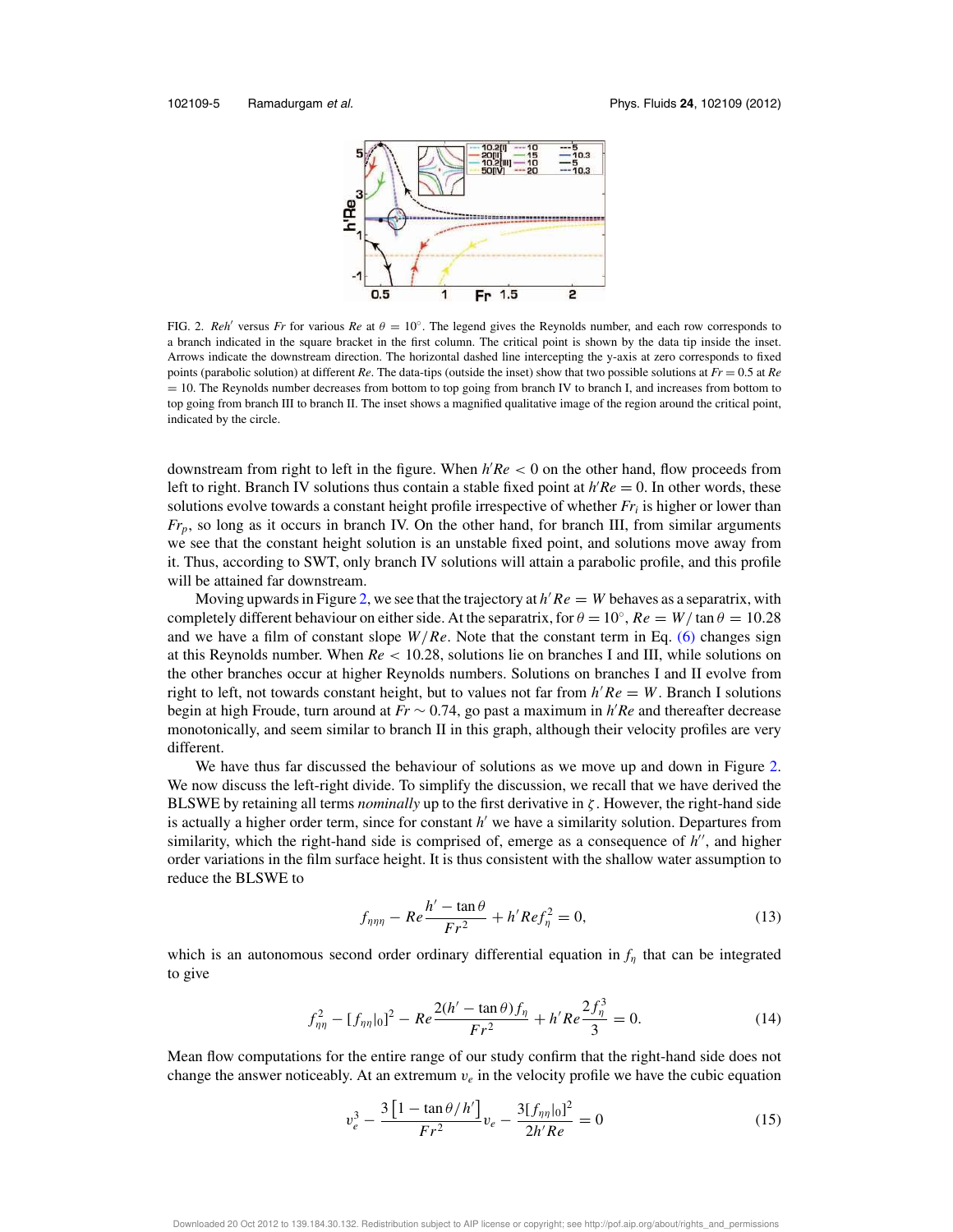

FIG. 2. *Reh'* versus *Fr* for various *Re* at  $\theta = 10^\circ$ . The legend gives the Reynolds number, and each row corresponds to a branch indicated in the square bracket in the first column. The critical point is shown by the data tip inside the inset. Arrows indicate the downstream direction. The horizontal dashed line intercepting the y-axis at zero corresponds to fixed points (parabolic solution) at different *Re*. The data-tips (outside the inset) show that two possible solutions at *Fr* = 0.5 at *Re* = 10. The Reynolds number decreases from bottom to top going from branch IV to branch I, and increases from bottom to top going from branch III to branch II. The inset shows a magnified qualitative image of the region around the critical point, indicated by the circle.

downstream from right to left in the figure. When *h* ′*Re* < 0 on the other hand, flow proceeds from left to right. Branch IV solutions thus contain a stable fixed point at  $h'Re = 0$ . In other words, these solutions evolve towards a constant height profile irrespective of whether *Fr<sup>i</sup>* is higher or lower than *Frp*, so long as it occurs in branch IV. On the other hand, for branch III, from similar arguments we see that the constant height solution is an unstable fixed point, and solutions move away from it. Thus, according to SWT, only branch IV solutions will attain a parabolic profile, and this profile will be attained far downstream.

Moving upwards in Figure 2, we see that the trajectory at  $h'Re = W$  behaves as a separatrix, with completely different behaviour on either side. At the separatrix, for  $\theta = 10^{\circ}$ ,  $Re = W / \tan \theta = 10.28$ and we have a film of constant slope  $W/Re$ . Note that the constant term in Eq. (6) changes sign at this Reynolds number. When *Re* < 10.28, solutions lie on branches I and III, while solutions on the other branches occur at higher Reynolds numbers. Solutions on branches I and II evolve from right to left, not towards constant height, but to values not far from *h* ′*Re* = *W*. Branch I solutions begin at high Froude, turn around at *Fr* ∼ 0.74, go past a maximum in *h* ′*Re* and thereafter decrease monotonically, and seem similar to branch II in this graph, although their velocity profiles are very different.

We have thus far discussed the behaviour of solutions as we move up and down in Figure 2. We now discuss the left-right divide. To simplify the discussion, we recall that we have derived the BLSWE by retaining all terms *nominally* up to the first derivative in  $\zeta$ . However, the right-hand side is actually a higher order term, since for constant *h* ′ we have a similarity solution. Departures from similarity, which the right-hand side is comprised of, emerge as a consequence of *h* ′′, and higher order variations in the film surface height. It is thus consistent with the shallow water assumption to reduce the BLSWE to

$$
f_{\eta\eta\eta} - Re \frac{h' - \tan\theta}{Fr^2} + h' Re f_\eta^2 = 0,
$$
\n(13)

which is an autonomous second order ordinary differential equation in  $f_n$  that can be integrated to give

$$
f_{\eta\eta}^2 - [f_{\eta\eta}|_0]^2 - Re \frac{2(h' - \tan\theta)f_\eta}{Fr^2} + h'Re \frac{2f_\eta^3}{3} = 0.
$$
 (14)

Mean flow computations for the entire range of our study confirm that the right-hand side does not change the answer noticeably. At an extremum  $v_e$  in the velocity profile we have the cubic equation

$$
v_e^3 - \frac{3\left[1 - \tan\theta / h'\right]}{Fr^2} v_e - \frac{3[f_{\eta\eta}|_0]^2}{2h'Re} = 0\tag{15}
$$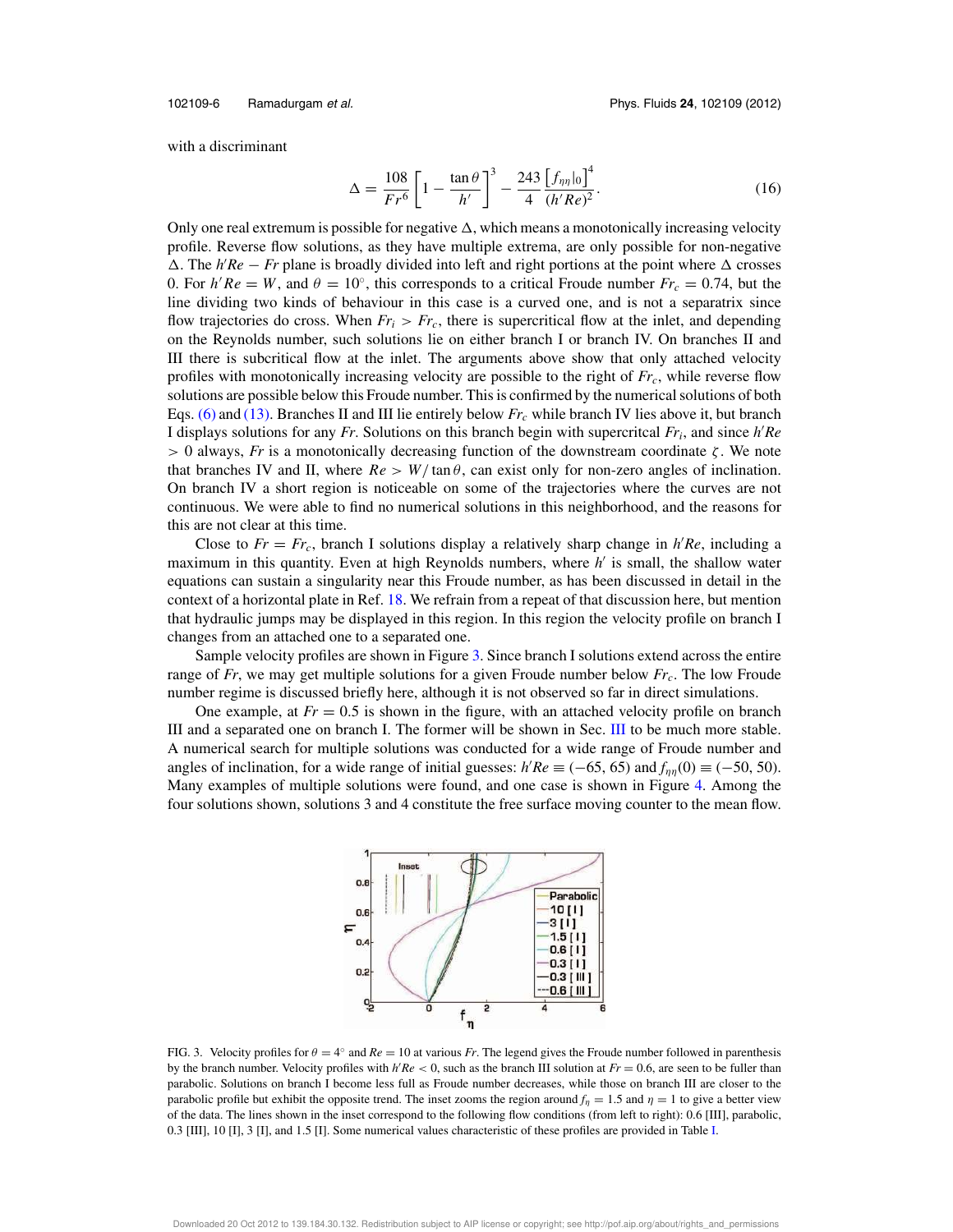102109-6 Ramadurgam et al. Phys. Fluids **24**, 102109 (2012)

with a discriminant

$$
\Delta = \frac{108}{Fr^6} \left[ 1 - \frac{\tan \theta}{h'} \right]^3 - \frac{243}{4} \frac{\left[ f_{\eta \eta} |_{0} \right]^4}{(h'Re)^2}.
$$
 (16)

Only one real extremum is possible for negative  $\Delta$ , which means a monotonically increasing velocity profile. Reverse flow solutions, as they have multiple extrema, are only possible for non-negative  $\Delta$ . The  $h'Re - Fr$  plane is broadly divided into left and right portions at the point where  $\Delta$  crosses 0. For  $h'Re = W$ , and  $\theta = 10^\circ$ , this corresponds to a critical Froude number  $Fr_c = 0.74$ , but the line dividing two kinds of behaviour in this case is a curved one, and is not a separatrix since flow trajectories do cross. When  $Fr_i > Fr_c$ , there is supercritical flow at the inlet, and depending on the Reynolds number, such solutions lie on either branch I or branch IV. On branches II and III there is subcritical flow at the inlet. The arguments above show that only attached velocity profiles with monotonically increasing velocity are possible to the right of *Frc*, while reverse flow solutions are possible below this Froude number. This is confirmed by the numerical solutions of both Eqs. (6) and (13). Branches II and III lie entirely below *Fr<sup>c</sup>* while branch IV lies above it, but branch I displays solutions for any *Fr*. Solutions on this branch begin with supercritcal *Fr<sup>i</sup>* , and since *h* ′*Re*  $> 0$  always, *Fr* is a monotonically decreasing function of the downstream coordinate  $\zeta$ . We note that branches IV and II, where  $Re > W/\tan \theta$ , can exist only for non-zero angles of inclination. On branch IV a short region is noticeable on some of the trajectories where the curves are not continuous. We were able to find no numerical solutions in this neighborhood, and the reasons for this are not clear at this time.

Close to  $Fr = Fr_c$ , branch I solutions display a relatively sharp change in  $h'Re$ , including a maximum in this quantity. Even at high Reynolds numbers, where *h'* is small, the shallow water equations can sustain a singularity near this Froude number, as has been discussed in detail in the context of a horizontal plate in Ref. 18. We refrain from a repeat of that discussion here, but mention that hydraulic jumps may be displayed in this region. In this region the velocity profile on branch I changes from an attached one to a separated one.

Sample velocity profiles are shown in Figure 3. Since branch I solutions extend across the entire range of *Fr*, we may get multiple solutions for a given Froude number below *Frc*. The low Froude number regime is discussed briefly here, although it is not observed so far in direct simulations.

One example, at  $Fr = 0.5$  is shown in the figure, with an attached velocity profile on branch III and a separated one on branch I. The former will be shown in Sec. III to be much more stable. A numerical search for multiple solutions was conducted for a wide range of Froude number and angles of inclination, for a wide range of initial guesses:  $h'Re \equiv (-65, 65)$  and  $f_{\eta\eta}(0) \equiv (-50, 50)$ . Many examples of multiple solutions were found, and one case is shown in Figure 4. Among the four solutions shown, solutions 3 and 4 constitute the free surface moving counter to the mean flow.



FIG. 3. Velocity profiles for  $\theta = 4^{\circ}$  and  $Re = 10$  at various *Fr*. The legend gives the Froude number followed in parenthesis by the branch number. Velocity profiles with *h* ′*Re* < 0, such as the branch III solution at *Fr* = 0.6, are seen to be fuller than parabolic. Solutions on branch I become less full as Froude number decreases, while those on branch III are closer to the parabolic profile but exhibit the opposite trend. The inset zooms the region around  $f_n = 1.5$  and  $\eta = 1$  to give a better view of the data. The lines shown in the inset correspond to the following flow conditions (from left to right): 0.6 [III], parabolic, 0.3 [III], 10 [I], 3 [I], and 1.5 [I]. Some numerical values characteristic of these profiles are provided in Table I.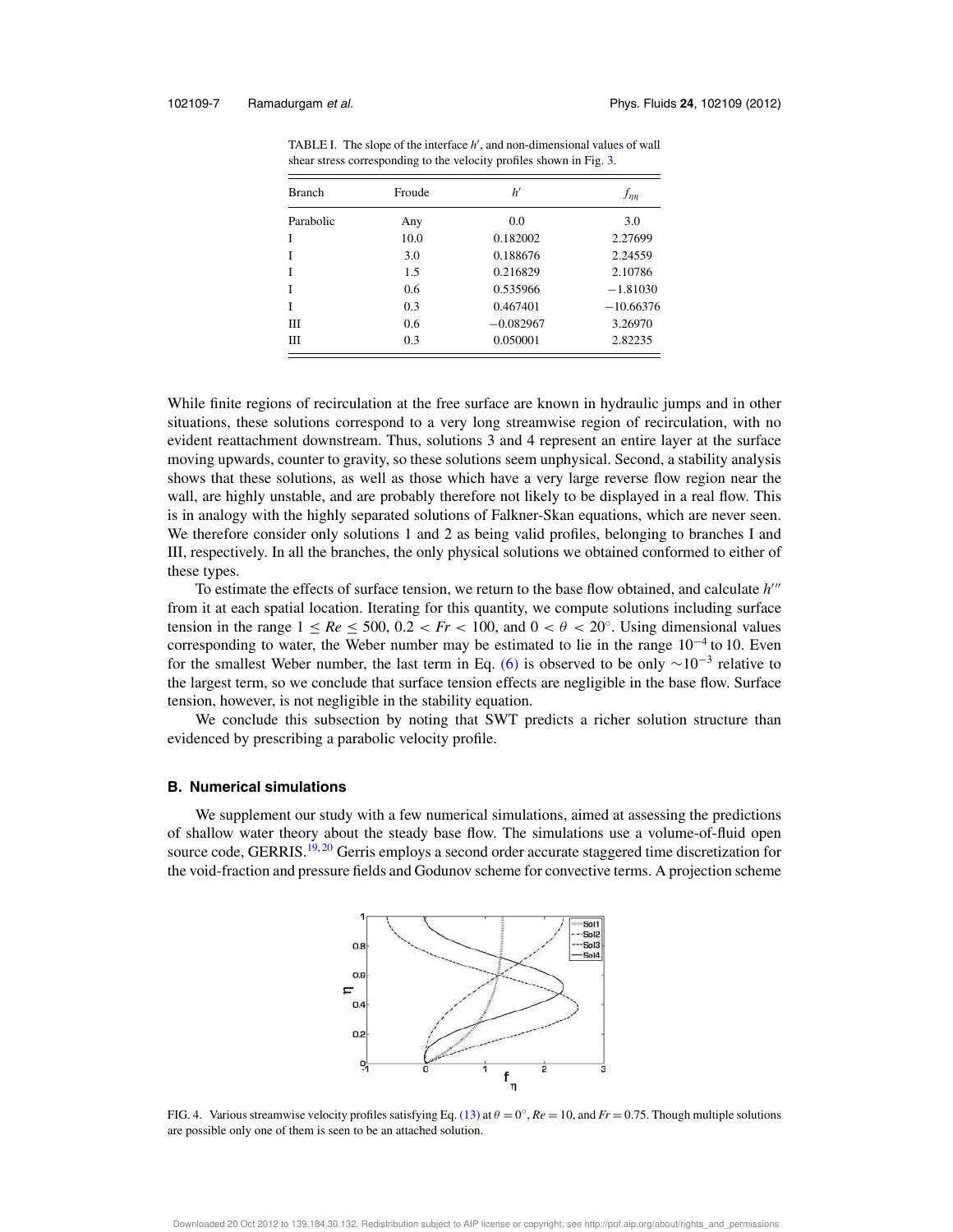| <b>Branch</b> | Froude | h'          | $f_{\eta\eta}$ |
|---------------|--------|-------------|----------------|
| Parabolic     | Any    | 0.0         | 3.0            |
|               | 10.0   | 0.182002    | 2.27699        |
|               | 3.0    | 0.188676    | 2.24559        |
|               | 1.5    | 0.216829    | 2.10786        |
|               | 0.6    | 0.535966    | $-1.81030$     |
|               | 0.3    | 0.467401    | $-10.66376$    |
| Ш             | 0.6    | $-0.082967$ | 3.26970        |
| Ш             | 0.3    | 0.050001    | 2.82235        |
|               |        |             |                |

TABLE I. The slope of the interface h<sup>'</sup>, and non-dimensional values of wall shear stress corresponding to the velocity profiles shown in Fig. 3.

While finite regions of recirculation at the free surface are known in hydraulic jumps and in other situations, these solutions correspond to a very long streamwise region of recirculation, with no evident reattachment downstream. Thus, solutions 3 and 4 represent an entire layer at the surface moving upwards, counter to gravity, so these solutions seem unphysical. Second, a stability analysis shows that these solutions, as well as those which have a very large reverse flow region near the wall, are highly unstable, and are probably therefore not likely to be displayed in a real flow. This is in analogy with the highly separated solutions of Falkner-Skan equations, which are never seen. We therefore consider only solutions 1 and 2 as being valid profiles, belonging to branches I and III, respectively. In all the branches, the only physical solutions we obtained conformed to either of these types.

To estimate the effects of surface tension, we return to the base flow obtained, and calculate  $h^{\prime\prime\prime}$ from it at each spatial location. Iterating for this quantity, we compute solutions including surface tension in the range  $1 \le Re \le 500$ ,  $0.2 < Fr < 100$ , and  $0 < \theta < 20^\circ$ . Using dimensional values corresponding to water, the Weber number may be estimated to lie in the range  $10^{-4}$  to 10. Even for the smallest Weber number, the last term in Eq. (6) is observed to be only  $\sim 10^{-3}$  relative to the largest term, so we conclude that surface tension effects are negligible in the base flow. Surface tension, however, is not negligible in the stability equation.

We conclude this subsection by noting that SWT predicts a richer solution structure than evidenced by prescribing a parabolic velocity profile.

#### **B. Numerical simulations**

We supplement our study with a few numerical simulations, aimed at assessing the predictions of shallow water theory about the steady base flow. The simulations use a volume-of-fluid open source code, GERRIS.<sup>19,20</sup> Gerris employs a second order accurate staggered time discretization for the void-fraction and pressure fields and Godunov scheme for convective terms. A projection scheme



FIG. 4. Various streamwise velocity profiles satisfying Eq.  $(13)$  at  $\theta = 0^{\circ}$ ,  $Re = 10$ , and  $Fr = 0.75$ . Though multiple solutions are possible only one of them is seen to be an attached solution.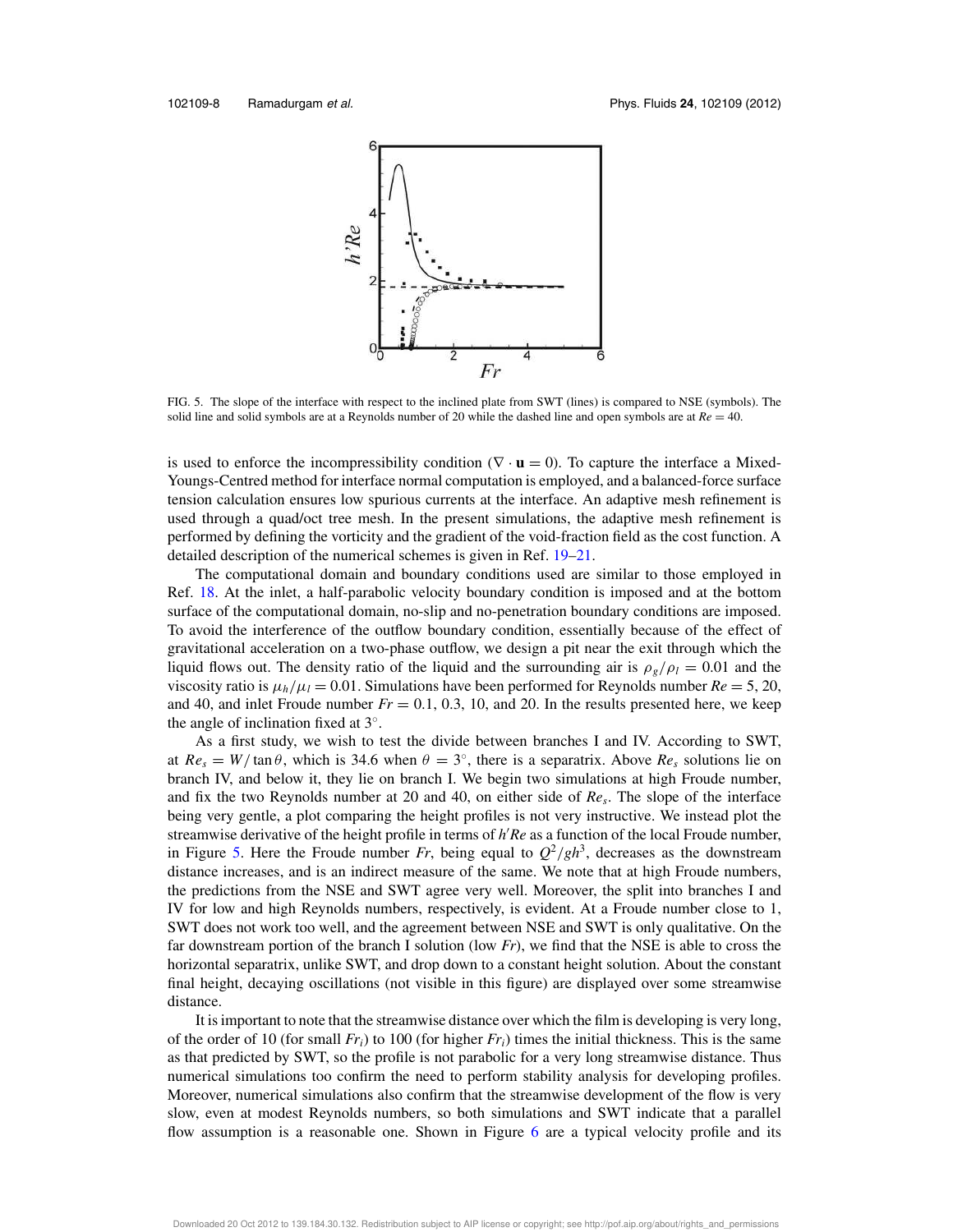

FIG. 5. The slope of the interface with respect to the inclined plate from SWT (lines) is compared to NSE (symbols). The solid line and solid symbols are at a Reynolds number of 20 while the dashed line and open symbols are at  $Re = 40$ .

is used to enforce the incompressibility condition  $(\nabla \cdot \mathbf{u} = 0)$ . To capture the interface a Mixed-Youngs-Centred method for interface normal computation is employed, and a balanced-force surface tension calculation ensures low spurious currents at the interface. An adaptive mesh refinement is used through a quad/oct tree mesh. In the present simulations, the adaptive mesh refinement is performed by defining the vorticity and the gradient of the void-fraction field as the cost function. A detailed description of the numerical schemes is given in Ref. 19–21.

The computational domain and boundary conditions used are similar to those employed in Ref. 18. At the inlet, a half-parabolic velocity boundary condition is imposed and at the bottom surface of the computational domain, no-slip and no-penetration boundary conditions are imposed. To avoid the interference of the outflow boundary condition, essentially because of the effect of gravitational acceleration on a two-phase outflow, we design a pit near the exit through which the liquid flows out. The density ratio of the liquid and the surrounding air is  $\rho_g/\rho_l = 0.01$  and the viscosity ratio is  $\mu_h/\mu_l = 0.01$ . Simulations have been performed for Reynolds number  $Re = 5, 20$ , and 40, and inlet Froude number  $Fr = 0.1$ , 0.3, 10, and 20. In the results presented here, we keep the angle of inclination fixed at  $3^\circ$ .

As a first study, we wish to test the divide between branches I and IV. According to SWT, at  $Re_s = W/\tan\theta$ , which is 34.6 when  $\theta = 3^\circ$ , there is a separatrix. Above  $Re_s$  solutions lie on branch IV, and below it, they lie on branch I. We begin two simulations at high Froude number, and fix the two Reynolds number at 20 and 40, on either side of *Re<sup>s</sup>* . The slope of the interface being very gentle, a plot comparing the height profiles is not very instructive. We instead plot the streamwise derivative of the height profile in terms of *h* ′*Re* as a function of the local Froude number, in Figure 5. Here the Froude number *Fr*, being equal to  $Q^2/gh^3$ , decreases as the downstream distance increases, and is an indirect measure of the same. We note that at high Froude numbers, the predictions from the NSE and SWT agree very well. Moreover, the split into branches I and IV for low and high Reynolds numbers, respectively, is evident. At a Froude number close to 1, SWT does not work too well, and the agreement between NSE and SWT is only qualitative. On the far downstream portion of the branch I solution (low *Fr*), we find that the NSE is able to cross the horizontal separatrix, unlike SWT, and drop down to a constant height solution. About the constant final height, decaying oscillations (not visible in this figure) are displayed over some streamwise distance.

It is important to note that the streamwise distance over which the film is developing is very long, of the order of 10 (for small  $Fr_i$ ) to 100 (for higher  $Fr_i$ ) times the initial thickness. This is the same as that predicted by SWT, so the profile is not parabolic for a very long streamwise distance. Thus numerical simulations too confirm the need to perform stability analysis for developing profiles. Moreover, numerical simulations also confirm that the streamwise development of the flow is very slow, even at modest Reynolds numbers, so both simulations and SWT indicate that a parallel flow assumption is a reasonable one. Shown in Figure 6 are a typical velocity profile and its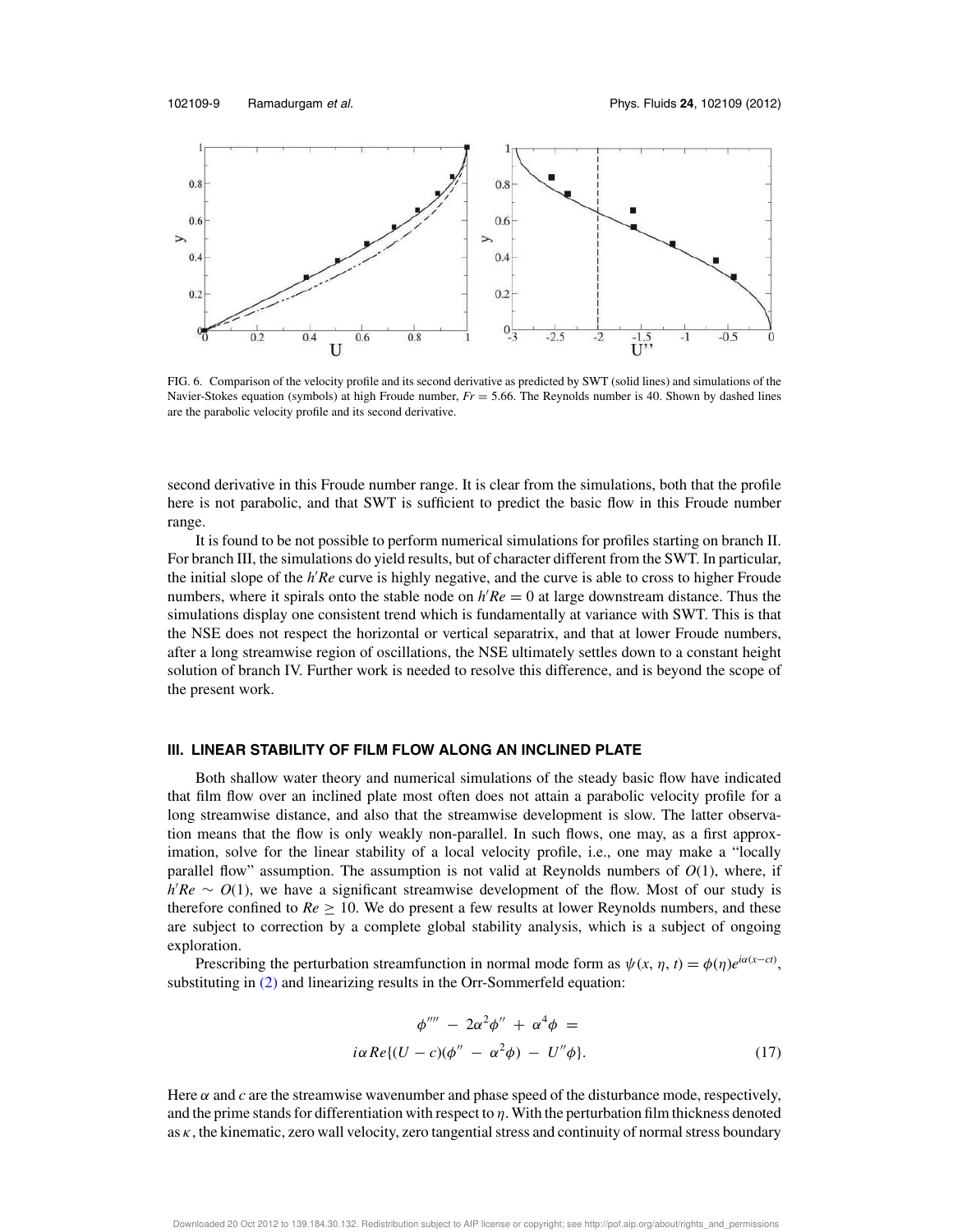

FIG. 6. Comparison of the velocity profile and its second derivative as predicted by SWT (solid lines) and simulations of the Navier-Stokes equation (symbols) at high Froude number, *Fr* = 5.66. The Reynolds number is 40. Shown by dashed lines are the parabolic velocity profile and its second derivative.

second derivative in this Froude number range. It is clear from the simulations, both that the profile here is not parabolic, and that SWT is sufficient to predict the basic flow in this Froude number range.

It is found to be not possible to perform numerical simulations for profiles starting on branch II. For branch III, the simulations do yield results, but of character different from the SWT. In particular, the initial slope of the *h* ′*Re* curve is highly negative, and the curve is able to cross to higher Froude numbers, where it spirals onto the stable node on  $h'Re = 0$  at large downstream distance. Thus the simulations display one consistent trend which is fundamentally at variance with SWT. This is that the NSE does not respect the horizontal or vertical separatrix, and that at lower Froude numbers, after a long streamwise region of oscillations, the NSE ultimately settles down to a constant height solution of branch IV. Further work is needed to resolve this difference, and is beyond the scope of the present work.

#### **III. LINEAR STABILITY OF FILM FLOW ALONG AN INCLINED PLATE**

Both shallow water theory and numerical simulations of the steady basic flow have indicated that film flow over an inclined plate most often does not attain a parabolic velocity profile for a long streamwise distance, and also that the streamwise development is slow. The latter observation means that the flow is only weakly non-parallel. In such flows, one may, as a first approximation, solve for the linear stability of a local velocity profile, i.e., one may make a "locally parallel flow" assumption. The assumption is not valid at Reynolds numbers of *O*(1), where, if *h*<sup>'</sup>*Re* ∼ *O*(1), we have a significant streamwise development of the flow. Most of our study is therefore confined to  $Re \geq 10$ . We do present a few results at lower Reynolds numbers, and these are subject to correction by a complete global stability analysis, which is a subject of ongoing exploration.

Prescribing the perturbation streamfunction in normal mode form as  $\psi(x, \eta, t) = \phi(\eta)e^{i\alpha(x-ct)}$ , substituting in (2) and linearizing results in the Orr-Sommerfeld equation:

$$
\phi'''' - 2\alpha^2 \phi'' + \alpha^4 \phi =
$$
  

$$
i\alpha Re\{(U - c)(\phi'' - \alpha^2 \phi) - U''\phi\}.
$$
 (17)

Here  $\alpha$  and  $c$  are the streamwise wavenumber and phase speed of the disturbance mode, respectively, and the prime stands for differentiation with respect to  $\eta$ . With the perturbation film thickness denoted as  $\kappa$ , the kinematic, zero wall velocity, zero tangential stress and continuity of normal stress boundary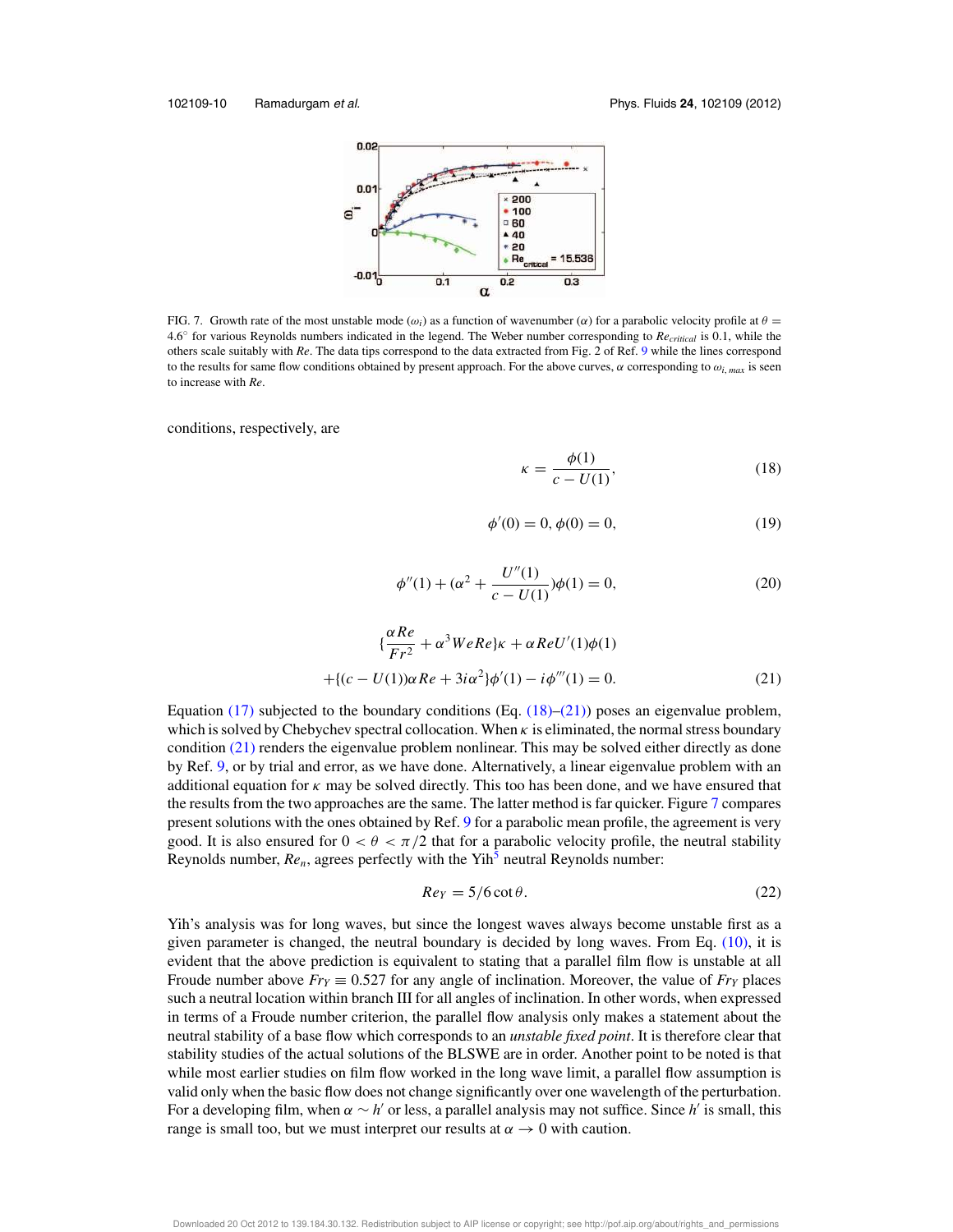

FIG. 7. Growth rate of the most unstable mode ( $\omega_i$ ) as a function of wavenumber ( $\alpha$ ) for a parabolic velocity profile at  $\theta$  = 4.6◦ for various Reynolds numbers indicated in the legend. The Weber number corresponding to *Recritical* is 0.1, while the others scale suitably with *Re*. The data tips correspond to the data extracted from Fig. 2 of Ref. 9 while the lines correspond to the results for same flow conditions obtained by present approach. For the above curves,  $\alpha$  corresponding to  $\omega_i$ ,  $_{max}$  is seen to increase with *Re*.

conditions, respectively, are

$$
\kappa = \frac{\phi(1)}{c - U(1)},\tag{18}
$$

$$
\phi'(0) = 0, \phi(0) = 0,\tag{19}
$$

$$
\phi''(1) + (\alpha^2 + \frac{U''(1)}{c - U(1)})\phi(1) = 0,
$$
\n(20)

$$
\{\frac{\alpha Re}{Fr^2} + \alpha^3 WeRe\}k + \alpha ReU'(1)\phi(1) + \{(c - U(1))\alpha Re + 3i\alpha^2\}\phi'(1) - i\phi'''(1) = 0.
$$
 (21)

Equation (17) subjected to the boundary conditions (Eq.  $(18)$ – $(21)$ ) poses an eigenvalue problem, which is solved by Chebychev spectral collocation. When  $\kappa$  is eliminated, the normal stress boundary condition  $(21)$  renders the eigenvalue problem nonlinear. This may be solved either directly as done by Ref. 9, or by trial and error, as we have done. Alternatively, a linear eigenvalue problem with an additional equation for  $\kappa$  may be solved directly. This too has been done, and we have ensured that the results from the two approaches are the same. The latter method is far quicker. Figure 7 compares present solutions with the ones obtained by Ref. 9 for a parabolic mean profile, the agreement is very good. It is also ensured for  $0 < \theta < \pi/2$  that for a parabolic velocity profile, the neutral stability Reynolds number,  $Re_n$ , agrees perfectly with the Yih<sup>5</sup> neutral Reynolds number:

$$
Re_Y = 5/6 \cot \theta. \tag{22}
$$

Yih's analysis was for long waves, but since the longest waves always become unstable first as a given parameter is changed, the neutral boundary is decided by long waves. From Eq. (10), it is evident that the above prediction is equivalent to stating that a parallel film flow is unstable at all Froude number above  $Fr_Y \equiv 0.527$  for any angle of inclination. Moreover, the value of  $Fr_Y$  places such a neutral location within branch III for all angles of inclination. In other words, when expressed in terms of a Froude number criterion, the parallel flow analysis only makes a statement about the neutral stability of a base flow which corresponds to an *unstable fixed point*. It is therefore clear that stability studies of the actual solutions of the BLSWE are in order. Another point to be noted is that while most earlier studies on film flow worked in the long wave limit, a parallel flow assumption is valid only when the basic flow does not change significantly over one wavelength of the perturbation. For a developing film, when  $\alpha \sim h'$  or less, a parallel analysis may not suffice. Since  $h'$  is small, this range is small too, but we must interpret our results at  $\alpha \rightarrow 0$  with caution.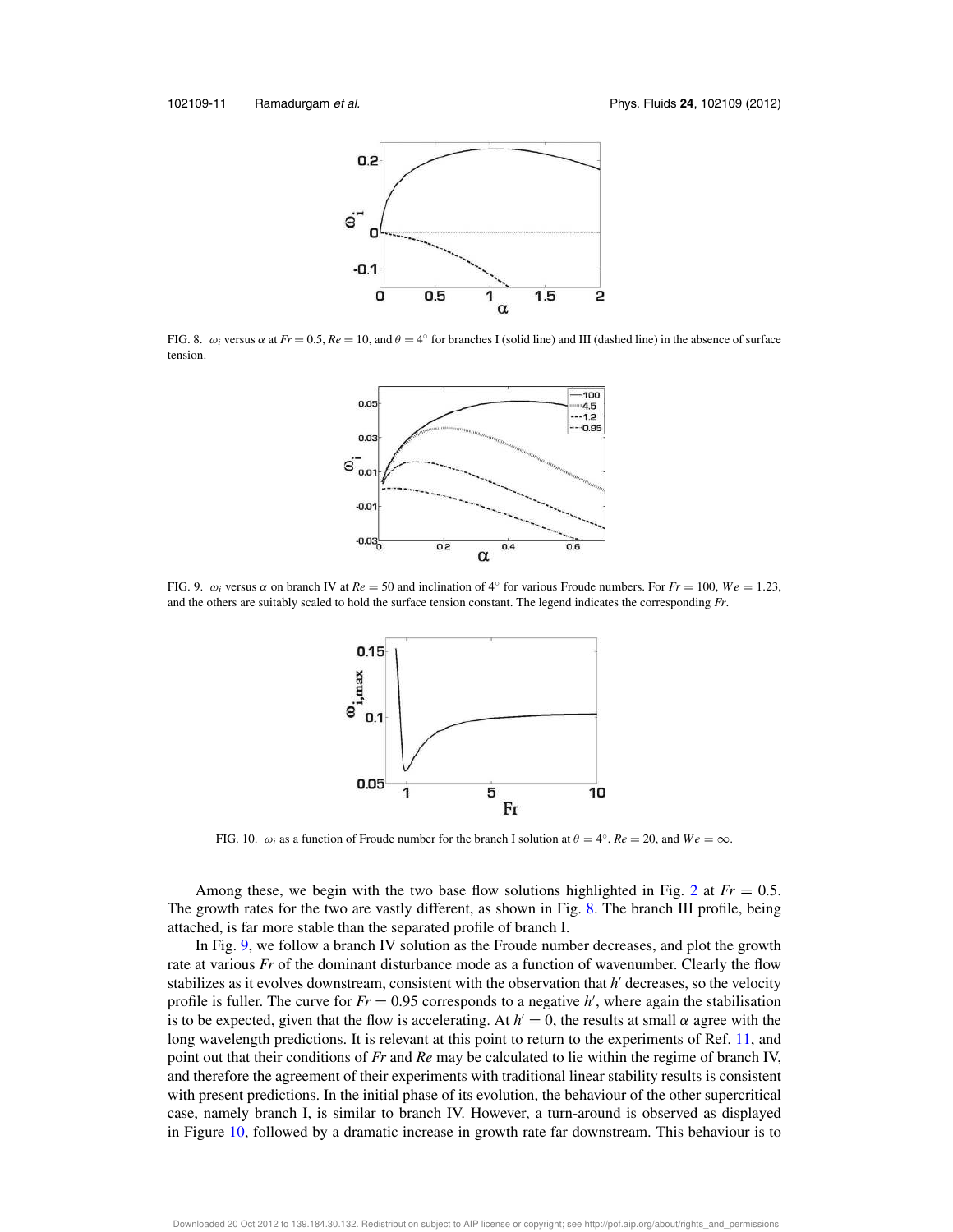

FIG. 8.  $\omega_i$  versus  $\alpha$  at  $Fr = 0.5$ ,  $Re = 10$ , and  $\theta = 4^{\circ}$  for branches I (solid line) and III (dashed line) in the absence of surface tension.



FIG. 9.  $\omega_i$  versus  $\alpha$  on branch IV at  $Re = 50$  and inclination of  $4^\circ$  for various Froude numbers. For  $Fr = 100$ ,  $We = 1.23$ , and the others are suitably scaled to hold the surface tension constant. The legend indicates the corresponding *Fr*.



FIG. 10.  $\omega_i$  as a function of Froude number for the branch I solution at  $\theta = 4^\circ$ ,  $Re = 20$ , and  $We = \infty$ .

Among these, we begin with the two base flow solutions highlighted in Fig. 2 at  $Fr = 0.5$ . The growth rates for the two are vastly different, as shown in Fig. 8. The branch III profile, being attached, is far more stable than the separated profile of branch I.

In Fig. 9, we follow a branch IV solution as the Froude number decreases, and plot the growth rate at various *Fr* of the dominant disturbance mode as a function of wavenumber. Clearly the flow stabilizes as it evolves downstream, consistent with the observation that *h* ′ decreases, so the velocity profile is fuller. The curve for  $Fr = 0.95$  corresponds to a negative  $h'$ , where again the stabilisation is to be expected, given that the flow is accelerating. At  $h' = 0$ , the results at small  $\alpha$  agree with the long wavelength predictions. It is relevant at this point to return to the experiments of Ref. 11, and point out that their conditions of *Fr* and *Re* may be calculated to lie within the regime of branch IV, and therefore the agreement of their experiments with traditional linear stability results is consistent with present predictions. In the initial phase of its evolution, the behaviour of the other supercritical case, namely branch I, is similar to branch IV. However, a turn-around is observed as displayed in Figure 10, followed by a dramatic increase in growth rate far downstream. This behaviour is to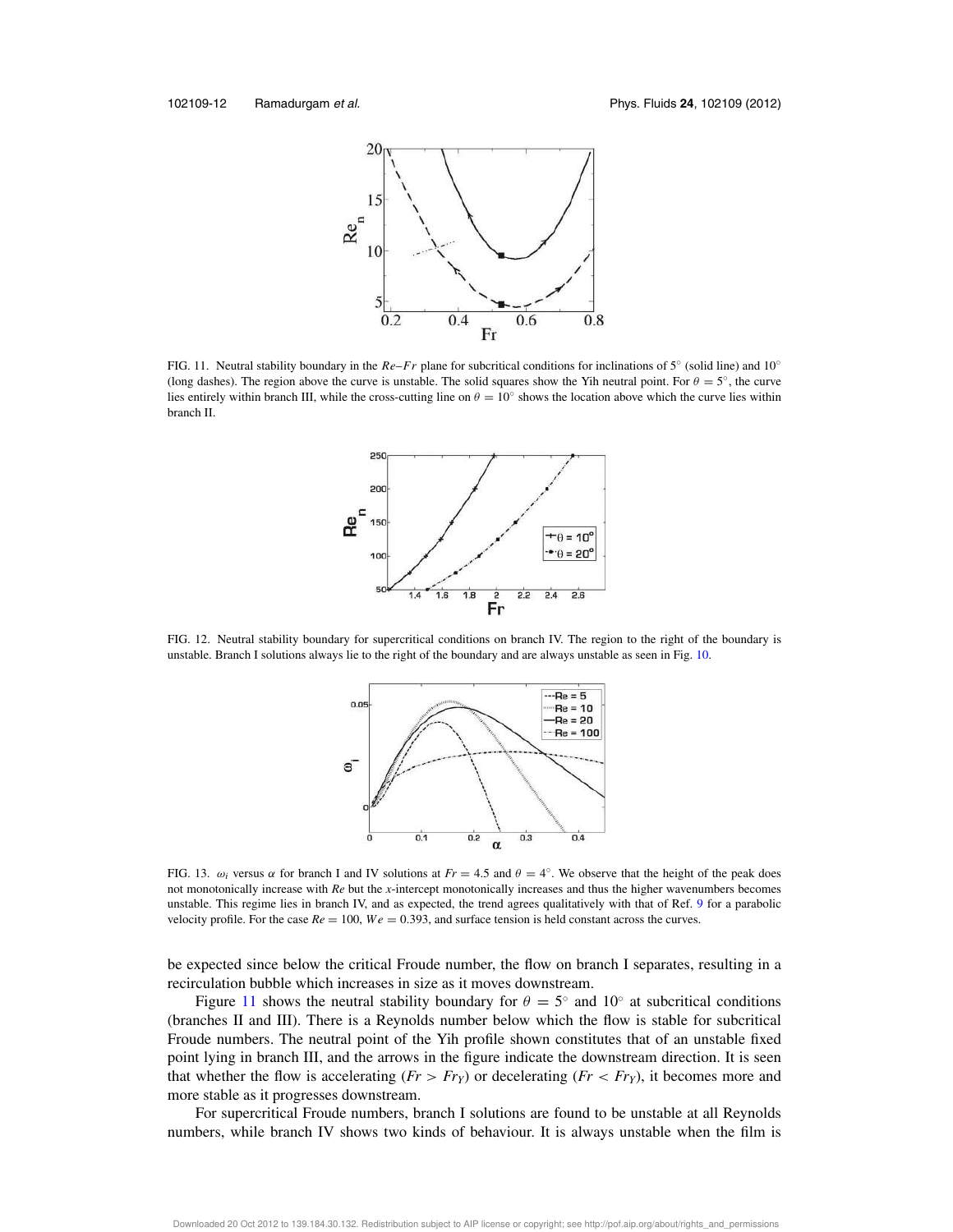

FIG. 11. Neutral stability boundary in the *Re*–*Fr* plane for subcritical conditions for inclinations of 5◦ (solid line) and 10◦ (long dashes). The region above the curve is unstable. The solid squares show the Yih neutral point. For  $\theta = 5^\circ$ , the curve lies entirely within branch III, while the cross-cutting line on  $\theta = 10^\circ$  shows the location above which the curve lies within branch II.



FIG. 12. Neutral stability boundary for supercritical conditions on branch IV. The region to the right of the boundary is unstable. Branch I solutions always lie to the right of the boundary and are always unstable as seen in Fig. 10.



FIG. 13.  $\omega_i$  versus  $\alpha$  for branch I and IV solutions at  $Fr = 4.5$  and  $\theta = 4^\circ$ . We observe that the height of the peak does not monotonically increase with *Re* but the *x*-intercept monotonically increases and thus the higher wavenumbers becomes unstable. This regime lies in branch IV, and as expected, the trend agrees qualitatively with that of Ref. 9 for a parabolic velocity profile. For the case  $Re = 100$ ,  $We = 0.393$ , and surface tension is held constant across the curves.

be expected since below the critical Froude number, the flow on branch I separates, resulting in a recirculation bubble which increases in size as it moves downstream.

Figure 11 shows the neutral stability boundary for  $\theta = 5^{\circ}$  and 10° at subcritical conditions (branches II and III). There is a Reynolds number below which the flow is stable for subcritical Froude numbers. The neutral point of the Yih profile shown constitutes that of an unstable fixed point lying in branch III, and the arrows in the figure indicate the downstream direction. It is seen that whether the flow is accelerating  $(Fr > Fr<sub>Y</sub>)$  or decelerating  $(Fr < Fr<sub>Y</sub>)$ , it becomes more and more stable as it progresses downstream.

For supercritical Froude numbers, branch I solutions are found to be unstable at all Reynolds numbers, while branch IV shows two kinds of behaviour. It is always unstable when the film is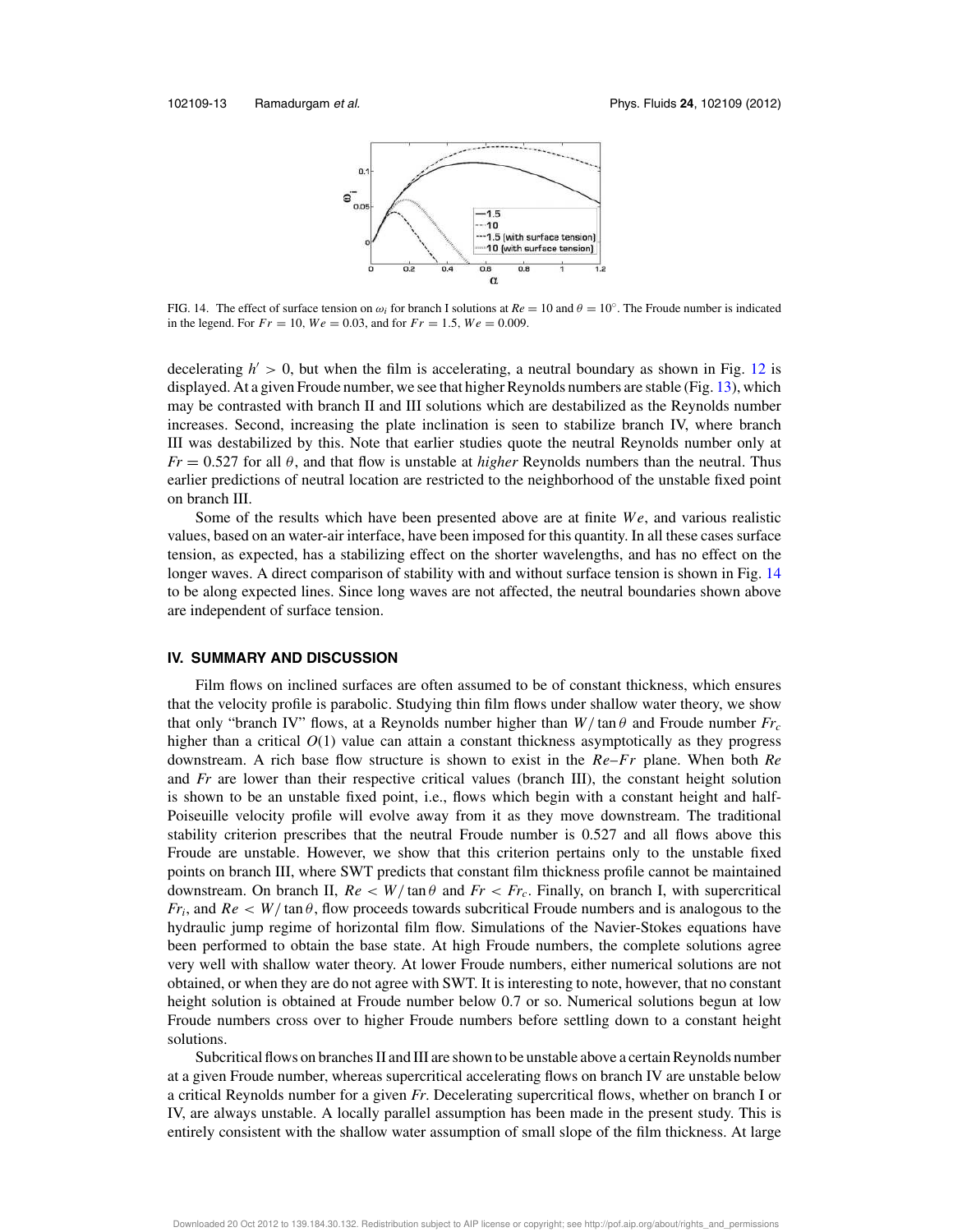

FIG. 14. The effect of surface tension on  $\omega_i$  for branch I solutions at  $Re = 10$  and  $\theta = 10^\circ$ . The Froude number is indicated in the legend. For  $Fr = 10$ ,  $We = 0.03$ , and for  $Fr = 1.5$ ,  $We = 0.009$ .

decelerating  $h' > 0$ , but when the film is accelerating, a neutral boundary as shown in Fig. 12 is displayed. At a given Froude number, we see that higher Reynolds numbers are stable (Fig. 13), which may be contrasted with branch II and III solutions which are destabilized as the Reynolds number increases. Second, increasing the plate inclination is seen to stabilize branch IV, where branch III was destabilized by this. Note that earlier studies quote the neutral Reynolds number only at *Fr* = 0.527 for all θ, and that flow is unstable at *higher* Reynolds numbers than the neutral. Thus earlier predictions of neutral location are restricted to the neighborhood of the unstable fixed point on branch III.

Some of the results which have been presented above are at finite *W e*, and various realistic values, based on an water-air interface, have been imposed for this quantity. In all these cases surface tension, as expected, has a stabilizing effect on the shorter wavelengths, and has no effect on the longer waves. A direct comparison of stability with and without surface tension is shown in Fig. 14 to be along expected lines. Since long waves are not affected, the neutral boundaries shown above are independent of surface tension.

#### **IV. SUMMARY AND DISCUSSION**

Film flows on inclined surfaces are often assumed to be of constant thickness, which ensures that the velocity profile is parabolic. Studying thin film flows under shallow water theory, we show that only "branch IV" flows, at a Reynolds number higher than  $W/\tan\theta$  and Froude number  $Fr_c$ higher than a critical  $O(1)$  value can attain a constant thickness asymptotically as they progress downstream. A rich base flow structure is shown to exist in the *Re*–*Fr* plane. When both *Re* and *Fr* are lower than their respective critical values (branch III), the constant height solution is shown to be an unstable fixed point, i.e., flows which begin with a constant height and half-Poiseuille velocity profile will evolve away from it as they move downstream. The traditional stability criterion prescribes that the neutral Froude number is 0.527 and all flows above this Froude are unstable. However, we show that this criterion pertains only to the unstable fixed points on branch III, where SWT predicts that constant film thickness profile cannot be maintained downstream. On branch II,  $Re < W/\tan \theta$  and  $Fr < Fr_c$ . Finally, on branch I, with supercritical *Fr<sub>i</sub>*, and  $Re \lt W/\tan \theta$ , flow proceeds towards subcritical Froude numbers and is analogous to the hydraulic jump regime of horizontal film flow. Simulations of the Navier-Stokes equations have been performed to obtain the base state. At high Froude numbers, the complete solutions agree very well with shallow water theory. At lower Froude numbers, either numerical solutions are not obtained, or when they are do not agree with SWT. It is interesting to note, however, that no constant height solution is obtained at Froude number below 0.7 or so. Numerical solutions begun at low Froude numbers cross over to higher Froude numbers before settling down to a constant height solutions.

Subcritical flows on branches II and III are shown to be unstable above a certain Reynolds number at a given Froude number, whereas supercritical accelerating flows on branch IV are unstable below a critical Reynolds number for a given *Fr*. Decelerating supercritical flows, whether on branch I or IV, are always unstable. A locally parallel assumption has been made in the present study. This is entirely consistent with the shallow water assumption of small slope of the film thickness. At large